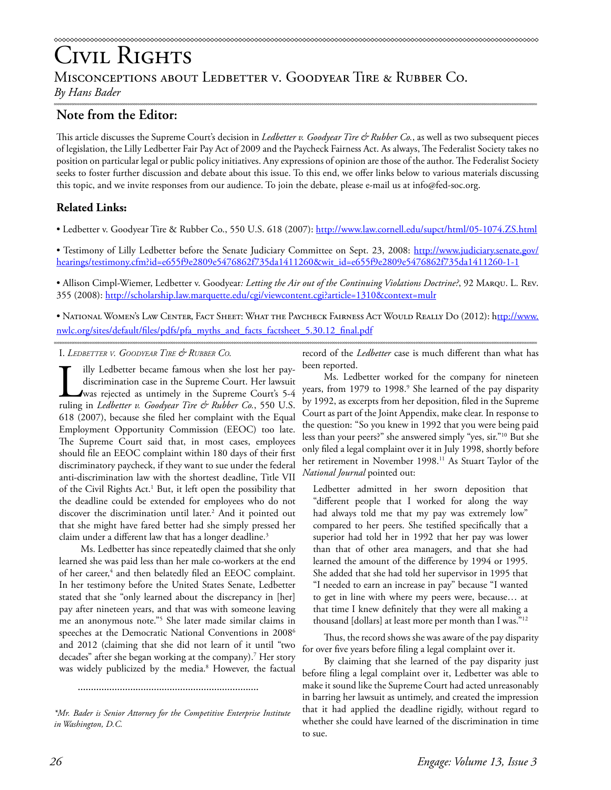# Misconceptions about Ledbetter v. Goodyear Tire & Rubber Co. *By Hans Bader*

# **Note from the Editor:**

This article discusses the Supreme Court's decision in *Ledbetter v. Goodyear Tire & Rubber Co.*, as well as two subsequent pieces of legislation, the Lilly Ledbetter Fair Pay Act of 2009 and the Paycheck Fairness Act. As always, The Federalist Society takes no position on particular legal or public policy initiatives. Any expressions of opinion are those of the author. The Federalist Society seeks to foster further discussion and debate about this issue. To this end, we offer links below to various materials discussing this topic, and we invite responses from our audience. To join the debate, please e-mail us at info@fed-soc.org.

## **Related Links:**

• Ledbetter v. Goodyear Tire & Rubber Co., 550 U.S. 618 (2007): http://www.law.cornell.edu/supct/html/05-1074.ZS.html

• Testimony of Lilly Ledbetter before the Senate Judiciary Committee on Sept. 23, 2008: http://www.judiciary.senate.gov/ hearings/testimony.cfm?id=e655f9e2809e5476862f735da1411260&wit\_id=e655f9e2809e5476862f735da1411260-1-1

• Allison Cimpl-Wiemer, Ledbetter v. Goodyear*: Letting the Air out of the Continuing Violations Doctrine?*, 92 Marqu. L. Rev. 355 (2008): http://scholarship.law.marquette.edu/cgi/viewcontent.cgi?article=1310&context=mulr

• National Women's Law Center, Fact Sheet: What the Paycheck Fairness Act Would Really Do (2012): http://www. nwlc.org/sites/default/files/pdfs/pfa\_myths\_and\_facts\_factsheet\_5.30.12\_final.pdf

I. *Ledbetter v. Goodyear Tire & Rubber Co.*

illy Ledbetter became famous when she lost her paydiscrimination case in the Supreme Court. Her lawsuit was rejected as untimely in the Supreme Court's 5-4 ruling in *Ledbetter v. Goodyear Tire & Rubber Co.*, 550 U.S. 618 (2007), because she filed her complaint with the Equal Employment Opportunity Commission (EEOC) too late. The Supreme Court said that, in most cases, employees should file an EEOC complaint within 180 days of their first discriminatory paycheck, if they want to sue under the federal anti-discrimination law with the shortest deadline, Title VII of the Civil Rights Act.<sup>1</sup> But, it left open the possibility that the deadline could be extended for employees who do not discover the discrimination until later.<sup>2</sup> And it pointed out that she might have fared better had she simply pressed her claim under a different law that has a longer deadline.<sup>3</sup>

Ms. Ledbetter has since repeatedly claimed that she only learned she was paid less than her male co-workers at the end of her career,<sup>4</sup> and then belatedly filed an EEOC complaint. In her testimony before the United States Senate, Ledbetter stated that she "only learned about the discrepancy in [her] pay after nineteen years, and that was with someone leaving me an anonymous note."5 She later made similar claims in speeches at the Democratic National Conventions in 2008<sup>6</sup> and 2012 (claiming that she did not learn of it until "two decades" after she began working at the company).7 Her story was widely publicized by the media.8 However, the factual

.....................................................................

*\*Mr. Bader is Senior Attorney for the Competitive Enterprise Institute in Washington, D.C.*

record of the *Ledbetter* case is much different than what has been reported.

Ms. Ledbetter worked for the company for nineteen years, from 1979 to 1998.<sup>9</sup> She learned of the pay disparity by 1992, as excerpts from her deposition, filed in the Supreme Court as part of the Joint Appendix, make clear. In response to the question: "So you knew in 1992 that you were being paid less than your peers?" she answered simply "yes, sir."10 But she only filed a legal complaint over it in July 1998, shortly before her retirement in November 1998.<sup>11</sup> As Stuart Taylor of the *National Journal* pointed out:

Ledbetter admitted in her sworn deposition that "different people that I worked for along the way had always told me that my pay was extremely low" compared to her peers. She testified specifically that a superior had told her in 1992 that her pay was lower than that of other area managers, and that she had learned the amount of the difference by 1994 or 1995. She added that she had told her supervisor in 1995 that "I needed to earn an increase in pay" because "I wanted to get in line with where my peers were, because… at that time I knew definitely that they were all making a thousand [dollars] at least more per month than I was."12

Thus, the record shows she was aware of the pay disparity for over five years before filing a legal complaint over it.

By claiming that she learned of the pay disparity just before filing a legal complaint over it, Ledbetter was able to make it sound like the Supreme Court had acted unreasonably in barring her lawsuit as untimely, and created the impression that it had applied the deadline rigidly, without regard to whether she could have learned of the discrimination in time to sue.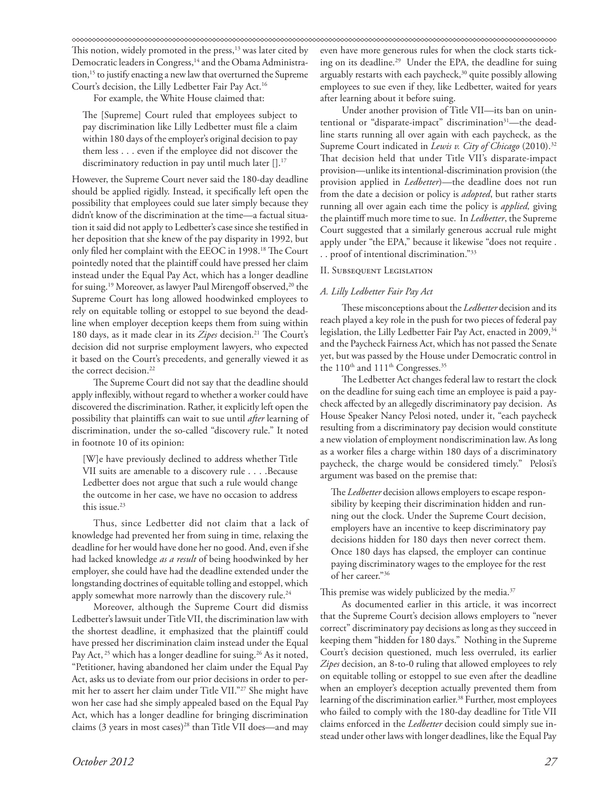This notion, widely promoted in the press,<sup>13</sup> was later cited by Democratic leaders in Congress,<sup>14</sup> and the Obama Administration,15 to justify enacting a new law that overturned the Supreme Court's decision, the Lilly Ledbetter Fair Pay Act.16

For example, the White House claimed that:

The [Supreme] Court ruled that employees subject to pay discrimination like Lilly Ledbetter must file a claim within 180 days of the employer's original decision to pay them less . . . even if the employee did not discover the discriminatory reduction in pay until much later [].<sup>17</sup>

However, the Supreme Court never said the 180-day deadline should be applied rigidly. Instead, it specifically left open the possibility that employees could sue later simply because they didn't know of the discrimination at the time—a factual situation it said did not apply to Ledbetter's case since she testified in her deposition that she knew of the pay disparity in 1992, but only filed her complaint with the EEOC in 1998.18 The Court pointedly noted that the plaintiff could have pressed her claim instead under the Equal Pay Act, which has a longer deadline for suing.<sup>19</sup> Moreover, as lawyer Paul Mirengoff observed,<sup>20</sup> the Supreme Court has long allowed hoodwinked employees to rely on equitable tolling or estoppel to sue beyond the deadline when employer deception keeps them from suing within 180 days, as it made clear in its Zipes decision.<sup>21</sup> The Court's decision did not surprise employment lawyers, who expected it based on the Court's precedents, and generally viewed it as the correct decision.<sup>22</sup>

The Supreme Court did not say that the deadline should apply inflexibly, without regard to whether a worker could have discovered the discrimination. Rather, it explicitly left open the possibility that plaintiffs can wait to sue until *after* learning of discrimination, under the so-called "discovery rule." It noted in footnote 10 of its opinion:

[W]e have previously declined to address whether Title VII suits are amenable to a discovery rule . . . .Because Ledbetter does not argue that such a rule would change the outcome in her case, we have no occasion to address this issue.<sup>23</sup>

Thus, since Ledbetter did not claim that a lack of knowledge had prevented her from suing in time, relaxing the deadline for her would have done her no good. And, even if she had lacked knowledge *as a result* of being hoodwinked by her employer, she could have had the deadline extended under the longstanding doctrines of equitable tolling and estoppel, which apply somewhat more narrowly than the discovery rule.<sup>24</sup>

Moreover, although the Supreme Court did dismiss Ledbetter's lawsuit under Title VII, the discrimination law with the shortest deadline, it emphasized that the plaintiff could have pressed her discrimination claim instead under the Equal Pay Act, <sup>25</sup> which has a longer deadline for suing.<sup>26</sup> As it noted, "Petitioner, having abandoned her claim under the Equal Pay Act, asks us to deviate from our prior decisions in order to permit her to assert her claim under Title VII."27 She might have won her case had she simply appealed based on the Equal Pay Act, which has a longer deadline for bringing discrimination claims (3 years in most cases)<sup>28</sup> than Title VII does—and may

even have more generous rules for when the clock starts ticking on its deadline.<sup>29</sup> Under the EPA, the deadline for suing arguably restarts with each paycheck,<sup>30</sup> quite possibly allowing employees to sue even if they, like Ledbetter, waited for years after learning about it before suing.

Under another provision of Title VII—its ban on unintentional or "disparate-impact" discrimination<sup>31</sup>—the deadline starts running all over again with each paycheck, as the Supreme Court indicated in *Lewis v. City of Chicago* (2010).<sup>32</sup> That decision held that under Title VII's disparate-impact provision—unlike its intentional-discrimination provision (the provision applied in *Ledbetter*)—the deadline does not run from the date a decision or policy is *adopted*, but rather starts running all over again each time the policy is *applied,* giving the plaintiff much more time to sue. In *Ledbetter*, the Supreme Court suggested that a similarly generous accrual rule might apply under "the EPA," because it likewise "does not require . . . proof of intentional discrimination."33

### II. Subsequent Legislation

### *A. Lilly Ledbetter Fair Pay Act*

These misconceptions about the *Ledbetter* decision and its reach played a key role in the push for two pieces of federal pay legislation, the Lilly Ledbetter Fair Pay Act, enacted in 2009,<sup>34</sup> and the Paycheck Fairness Act, which has not passed the Senate yet, but was passed by the House under Democratic control in the 110<sup>th</sup> and 111<sup>th</sup> Congresses.<sup>35</sup>

The Ledbetter Act changes federal law to restart the clock on the deadline for suing each time an employee is paid a paycheck affected by an allegedly discriminatory pay decision. As House Speaker Nancy Pelosi noted, under it, "each paycheck resulting from a discriminatory pay decision would constitute a new violation of employment nondiscrimination law. As long as a worker files a charge within 180 days of a discriminatory paycheck, the charge would be considered timely." Pelosi's argument was based on the premise that:

The *Ledbetter* decision allows employers to escape responsibility by keeping their discrimination hidden and running out the clock. Under the Supreme Court decision, employers have an incentive to keep discriminatory pay decisions hidden for 180 days then never correct them. Once 180 days has elapsed, the employer can continue paying discriminatory wages to the employee for the rest of her career."36

This premise was widely publicized by the media.<sup>37</sup>

As documented earlier in this article, it was incorrect that the Supreme Court's decision allows employers to "never correct" discriminatory pay decisions as long as they succeed in keeping them "hidden for 180 days." Nothing in the Supreme Court's decision questioned, much less overruled, its earlier *Zipes* decision, an 8-to-0 ruling that allowed employees to rely on equitable tolling or estoppel to sue even after the deadline when an employer's deception actually prevented them from learning of the discrimination earlier.<sup>38</sup> Further, most employees who failed to comply with the 180-day deadline for Title VII claims enforced in the *Ledbetter* decision could simply sue instead under other laws with longer deadlines, like the Equal Pay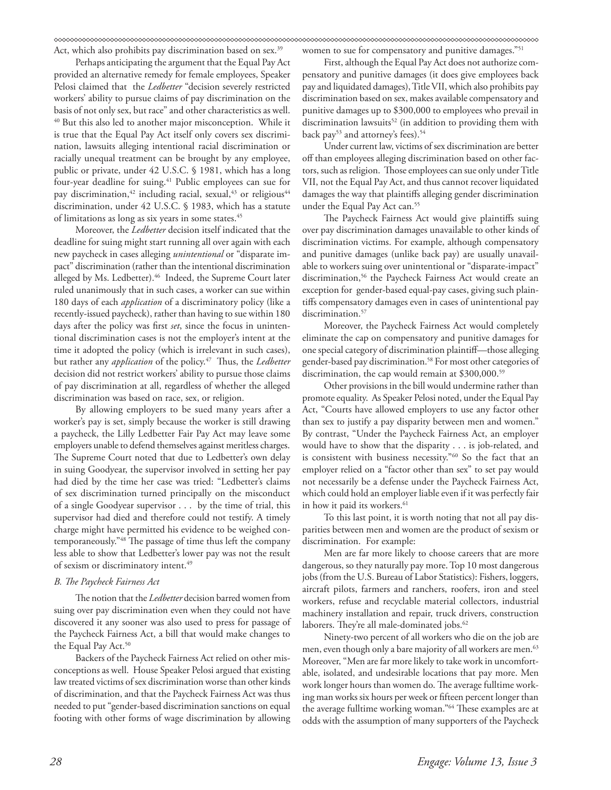Act, which also prohibits pay discrimination based on sex.<sup>39</sup>

Perhaps anticipating the argument that the Equal Pay Act provided an alternative remedy for female employees, Speaker Pelosi claimed that the *Ledbetter* "decision severely restricted workers' ability to pursue claims of pay discrimination on the basis of not only sex, but race" and other characteristics as well. <sup>40</sup> But this also led to another major misconception. While it is true that the Equal Pay Act itself only covers sex discrimination, lawsuits alleging intentional racial discrimination or racially unequal treatment can be brought by any employee, public or private, under 42 U.S.C. § 1981, which has a long four-year deadline for suing.<sup>41</sup> Public employees can sue for pay discrimination,<sup>42</sup> including racial, sexual,<sup>43</sup> or religious<sup>44</sup> discrimination, under 42 U.S.C. § 1983, which has a statute of limitations as long as six years in some states.45

Moreover, the *Ledbetter* decision itself indicated that the deadline for suing might start running all over again with each new paycheck in cases alleging *unintentional* or "disparate impact" discrimination (rather than the intentional discrimination alleged by Ms. Ledbetter).<sup>46</sup> Indeed, the Supreme Court later ruled unanimously that in such cases, a worker can sue within 180 days of each *application* of a discriminatory policy (like a recently-issued paycheck), rather than having to sue within 180 days after the policy was first *set*, since the focus in unintentional discrimination cases is not the employer's intent at the time it adopted the policy (which is irrelevant in such cases), but rather any *application* of the policy.<sup>47</sup> Thus, the *Ledbetter* decision did not restrict workers' ability to pursue those claims of pay discrimination at all, regardless of whether the alleged discrimination was based on race, sex, or religion.

By allowing employers to be sued many years after a worker's pay is set, simply because the worker is still drawing a paycheck, the Lilly Ledbetter Fair Pay Act may leave some employers unable to defend themselves against meritless charges. The Supreme Court noted that due to Ledbetter's own delay in suing Goodyear, the supervisor involved in setting her pay had died by the time her case was tried: "Ledbetter's claims of sex discrimination turned principally on the misconduct of a single Goodyear supervisor . . . by the time of trial, this supervisor had died and therefore could not testify. A timely charge might have permitted his evidence to be weighed contemporaneously."48 The passage of time thus left the company less able to show that Ledbetter's lower pay was not the result of sexism or discriminatory intent.<sup>49</sup>

### *B. The Paycheck Fairness Act*

The notion that the *Ledbetter* decision barred women from suing over pay discrimination even when they could not have discovered it any sooner was also used to press for passage of the Paycheck Fairness Act, a bill that would make changes to the Equal Pay Act.<sup>50</sup>

Backers of the Paycheck Fairness Act relied on other misconceptions as well. House Speaker Pelosi argued that existing law treated victims of sex discrimination worse than other kinds of discrimination, and that the Paycheck Fairness Act was thus needed to put "gender-based discrimination sanctions on equal footing with other forms of wage discrimination by allowing

women to sue for compensatory and punitive damages."<sup>51</sup>

First, although the Equal Pay Act does not authorize compensatory and punitive damages (it does give employees back pay and liquidated damages), Title VII, which also prohibits pay discrimination based on sex, makes available compensatory and punitive damages up to \$300,000 to employees who prevail in discrimination lawsuits<sup>52</sup> (in addition to providing them with back pay<sup>53</sup> and attorney's fees).<sup>54</sup>

Under current law, victims of sex discrimination are better off than employees alleging discrimination based on other factors, such as religion. Those employees can sue only under Title VII, not the Equal Pay Act, and thus cannot recover liquidated damages the way that plaintiffs alleging gender discrimination under the Equal Pay Act can.55

The Paycheck Fairness Act would give plaintiffs suing over pay discrimination damages unavailable to other kinds of discrimination victims. For example, although compensatory and punitive damages (unlike back pay) are usually unavailable to workers suing over unintentional or "disparate-impact" discrimination,56 the Paycheck Fairness Act would create an exception for gender-based equal-pay cases, giving such plaintiffs compensatory damages even in cases of unintentional pay discrimination.<sup>57</sup>

Moreover, the Paycheck Fairness Act would completely eliminate the cap on compensatory and punitive damages for one special category of discrimination plaintiff—those alleging gender-based pay discrimination.<sup>58</sup> For most other categories of discrimination, the cap would remain at \$300,000.59

Other provisions in the bill would undermine rather than promote equality. As Speaker Pelosi noted, under the Equal Pay Act, "Courts have allowed employers to use any factor other than sex to justify a pay disparity between men and women." By contrast, "Under the Paycheck Fairness Act, an employer would have to show that the disparity . . . is job-related, and is consistent with business necessity."60 So the fact that an employer relied on a "factor other than sex" to set pay would not necessarily be a defense under the Paycheck Fairness Act, which could hold an employer liable even if it was perfectly fair in how it paid its workers.<sup>61</sup>

To this last point, it is worth noting that not all pay disparities between men and women are the product of sexism or discrimination. For example:

Men are far more likely to choose careers that are more dangerous, so they naturally pay more. Top 10 most dangerous jobs (from the U.S. Bureau of Labor Statistics): Fishers, loggers, aircraft pilots, farmers and ranchers, roofers, iron and steel workers, refuse and recyclable material collectors, industrial machinery installation and repair, truck drivers, construction laborers. They're all male-dominated jobs.<sup>62</sup>

Ninety-two percent of all workers who die on the job are men, even though only a bare majority of all workers are men.<sup>63</sup> Moreover, "Men are far more likely to take work in uncomfortable, isolated, and undesirable locations that pay more. Men work longer hours than women do. The average fulltime working man works six hours per week or fifteen percent longer than the average fulltime working woman."64 These examples are at odds with the assumption of many supporters of the Paycheck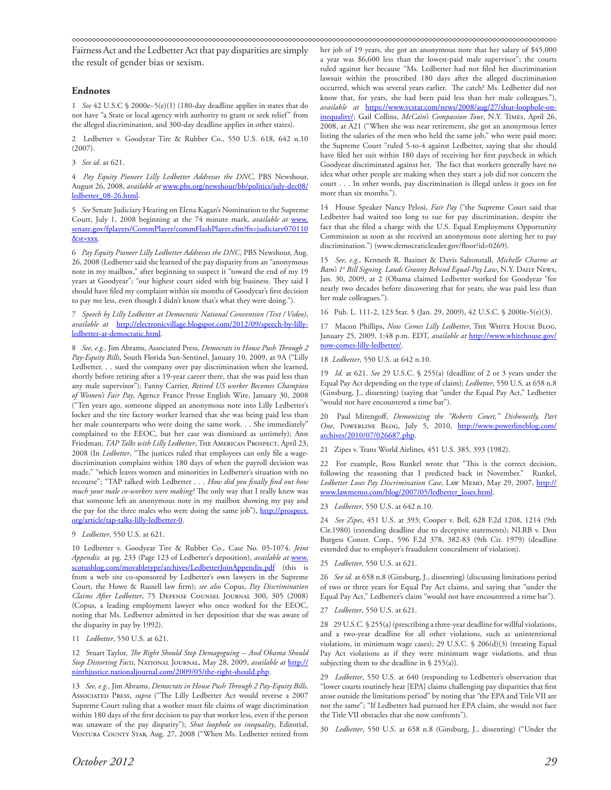Fairness Act and the Ledbetter Act that pay disparities are simply the result of gender bias or sexism.

### **Endnotes**

1 *See* 42 U.S.C § 2000e–5(e)(1) (180-day deadline applies in states that do not have "a State or local agency with authority to grant or seek relief" from the alleged discrimination, and 300-day deadline applies in other states).

2 Ledbetter v. Goodyear Tire & Rubber Co., 550 U.S. 618, 642 n.10 (2007).

3 *See id*. at 621.

4 *Pay Equity Pioneer Lilly Ledbetter Addresses the DNC*, PBS Newshour, August 26, 2008, *available at* www.pbs.org/newshour/bb/politics/july-dec08/ ledbetter\_08-26.html.

5 *See* Senate Judiciary Hearing on Elena Kagan's Nomination to the Supreme Court, July 1, 2008 beginning at the 74 minute mark, *available at* www. senate.gov/fplayers/CommPlayer/commFlashPlayer.cfm?fn=judiciary070110 &st=xxx.

6 *Pay Equity Pioneer Lilly Ledbetter Addresses the DNC*, PBS Newshour, Aug. 26, 2008 (Ledbetter said she learned of the pay disparity from an "anonymous note in my mailbox," after beginning to suspect it "toward the end of my 19 years at Goodyear"; "our highest court sided with big business. They said I should have filed my complaint within six months of Goodyear's first decision to pay me less, even though I didn't know that's what they were doing.").

7 *Speech by Lilly Ledbetter at Democratic National Convention (Text / Video)*, *available at* http://electronicvillage.blogspot.com/2012/09/speech-by-lillyledbetter-at-democratic.html.

8 *See, e.g.,* Jim Abrams, Associated Press, *Democrats in House Push Through 2 Pay-Equity Bills*, South Florida Sun-Sentinel, January 10, 2009, at 9A ("Lilly Ledbetter. . . sued the company over pay discrimination when she learned, shortly before retiring after a 19-year career there, that she was paid less than any male supervisor")*;* Fanny Carrier, *Retired US worker Becomes Champion of Women's Fair Pay*, Agence France Presse English Wire, January 30, 2008 ("Ten years ago, someone slipped an anonymous note into Lilly Ledbetter's locker and the tire factory worker learned that she was being paid less than her male counterparts who were doing the same work. . . She immediately" complained to the EEOC, but her case was dismissed as untimely); Ann Friedman, *TAP Talks with Lilly Ledbetter*, The American Prospect, April 23, 2008 (In *Ledbetter*, "The justices ruled that employees can only file a wagediscrimination complaint within 180 days of when the payroll decision was made," "which leaves women and minorities in Ledbetter's situation with no recourse"; "TAP talked with Ledbetter . . . *How did you finally find out how much your male co-workers were making?* The only way that I really knew was that someone left an anonymous note in my mailbox showing my pay and the pay for the three males who were doing the same job"), http://prospect. org/article/tap-talks-lilly-ledbetter-0.

### 9 *Ledbetter*, 550 U.S. at 621.

10 Ledbetter v. Goodyear Tire & Rubber Co.*,* Case No. 05-1074, *Joint Appendix* at pg. 233 (Page 123 of Ledbetter's deposition), *available at* www. scotusblog.com/movabletype/archives/LedbetterJoinAppendix.pdf (this is from a web site co-sponsored by Ledbetter's own lawyers in the Supreme Court, the Howe & Russell law firm); *see also* Copus, *Pay Discrimination Claims After Ledbetter*, 75 Defense Counsel Journal 300, 305 (2008) (Copus, a leading employment lawyer who once worked for the EEOC, noting that Ms. Ledbetter admitted in her deposition that she was aware of the disparity in pay by 1992).

11 *Ledbetter*, 550 U.S. at 621.

12 Stuart Taylor, *The Right Should Stop Demagoguing -- And Obama Should Stop Distorting Facts*, National Journal, May 28, 2009, *available at* http:// ninthjustice.nationaljournal.com/2009/05/the-right-should.php.

13 *See, e.g.,* Jim Abrams, *Democrats in House Push Through 2 Pay-Equity Bills*, Associated Press, *supra* ("The Lilly Ledbetter Act would reverse a 2007 Supreme Court ruling that a worker must file claims of wage discrimination within 180 days of the first decision to pay that worker less, even if the person was unaware of the pay disparity"); *Shut loophole on inequality*, Editorial, VENTURA COUNTY STAR, Aug. 27, 2008 ("When Ms. Ledbetter retired from

her job of 19 years, she got an anonymous note that her salary of \$45,000 a year was \$6,600 less than the lowest-paid male supervisor"; the courts ruled against her because "Ms. Ledbetter had not filed her discrimination lawsuit within the proscribed 180 days after the alleged discrimination occurred, which was several years earlier. The catch? Ms. Ledbetter did not know that, for years, she had been paid less than her male colleagues."), *available at* https://www.vcstar.com/news/2008/aug/27/shut-loophole-oninequality/; Gail Collins, *McCain's Compassion Tour*, N.Y. Times, April 26, 2008, at A21 ("When she was near retirement, she got an anonymous letter listing the salaries of the men who held the same job," who were paid more; the Supreme Court "ruled 5-to-4 against Ledbetter, saying that she should have filed her suit within 180 days of receiving her first paycheck in which Goodyear discriminated against her. The fact that workers generally have no idea what other people are making when they start a job did not concern the court . . . In other words, pay discrimination is illegal unless it goes on for more than six months.").

14 House Speaker Nancy Pelosi, *Fair Pay* ("the Supreme Court said that Ledbetter had waited too long to sue for pay discrimination, despite the fact that she filed a charge with the U.S. Equal Employment Opportunity Commission as soon as she received an anonymous note alerting her to pay discrimination.") (www.democraticleader.gov/floor?id=0269).

15 *See, e.g.,* Kenneth R. Bazinet & Davis Saltonstall, *Michelle Charms at*  Bam's 1<sup>st</sup> Bill Signing. Lauds Granny Behind Equal-Pay Law, N.Y. DAILY NEWS, Jan. 30, 2009, at 2 (Obama claimed Ledbetter worked for Goodyear "for nearly two decades before discovering that for years, she was paid less than her male colleagues.").

16 Pub. L. 111-2, 123 Stat. 5 (Jan. 29, 2009), 42 U.S.C. § 2000e-5(e)(3).

17 Macon Phillips, *Now Comes Lilly Ledbetter*, THE WHITE HOUSE BLOG, January 25, 2009, 1:48 p.m. EDT, *available at* http://www.whitehouse.gov/ now-comes-lilly-ledbetter/.

18 *Ledbetter*, 550 U.S. at 642 n.10.

19 *Id.* at 621. *See* 29 U.S.C. § 255(a) (deadline of 2 or 3 years under the Equal Pay Act depending on the type of claim); *Ledbetter*, 550 U.S. at 658 n.8 (Ginsburg, J., dissenting) (saying that "under the Equal Pay Act," Ledbetter "would not have encountered a time bar").

20 Paul Mirengoff, *Demonizing the "Roberts Court," Dishonestly, Part*  One, PowerLINE BLOG, July 5, 2010, http://www.powerlineblog.com/ archives/2010/07/026687.php.

21 Zipes v. Trans World Airlines*,* 451 U.S. 385, 393 (1982).

22 For example, Ross Runkel wrote that "This is the correct decision, following the reasoning that I predicted back in November." Runkel, *Ledbetter Loses Pay Discrimination Case*, Law Memo, May 29, 2007, http:// www.lawmemo.com/blog/2007/05/ledbetter\_loses.html.

23 *Ledbetter*, 550 U.S. at 642 n.10.

24 *See Zipes*, 451 U.S. at 393; Cooper v. Bell*,* 628 F.2d 1208, 1214 (9th Cir.1980) (extending deadline due to deceptive statements); NLRB v. Don Burgess Constr. Corp.*,* 596 F.2d 378, 382-83 (9th Cir. 1979) (deadline extended due to employer's fraudulent concealment of violation).

25 *Ledbetter*, 550 U.S. at 621.

26 *See id.* at 658 n.8 (Ginsburg, J., dissenting) (discussing limitations period of two or three years for Equal Pay Act claims, and saying that "under the Equal Pay Act," Ledbetter's claim "would not have encountered a time bar").

27 *Ledbetter*, 550 U.S. at 621.

28 29 U.S.C. § 255(a) (prescribing a three-year deadline for willful violations, and a two-year deadline for all other violations, such as unintentional violations, in minimum wage cases); 29 U.S.C. § 206(d)(3) (treating Equal Pay Act violations as if they were minimum wage violations, and thus subjecting them to the deadline in  $\S$  255(a)).

29 *Ledbetter*, 550 U.S. at 640 (responding to Ledbetter's observation that "lower courts routinely hear [EPA] claims challenging pay disparities that first arose outside the limitations period" by noting that "the EPA and Title VII are not the same"; "If Ledbetter had pursued her EPA claim, she would not face the Title VII obstacles that she now confronts").

30 *Ledbetter*, 550 U.S. at 658 n.8 (Ginsburg, J., dissenting) ("Under the